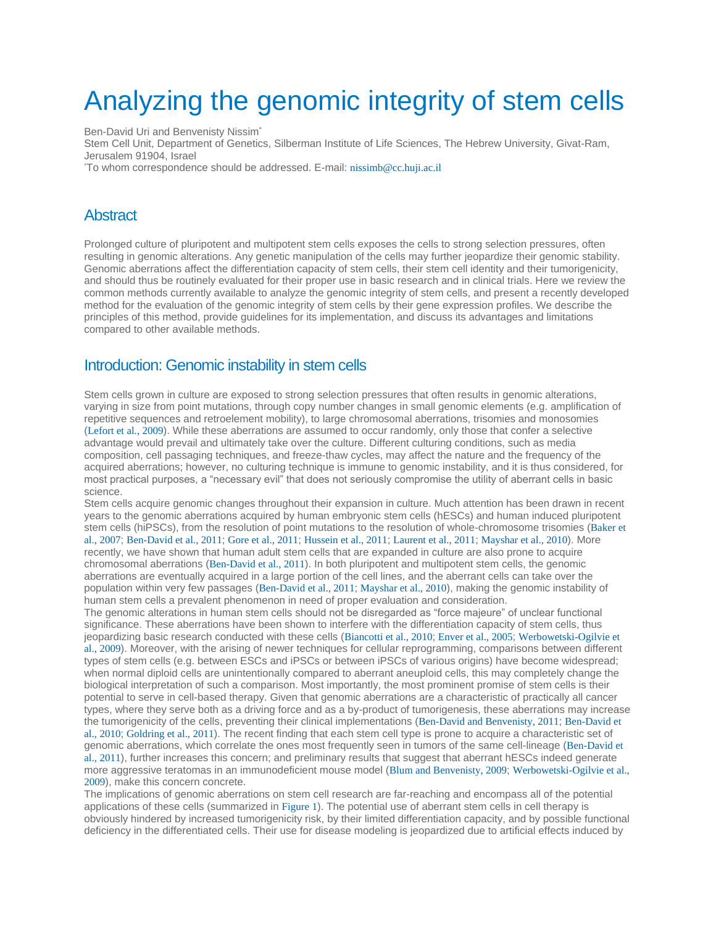# Analyzing the genomic integrity of stem cells

Ben-David Uri and Benvenisty Nissi[m](http://www.stembook.org/node/719#cor1)\*

Stem Cell Unit, Department of Genetics, Silberman Institute of Life Sciences, The Hebrew University, Givat-Ram, Jerusalem 91904, Israel

\*To whom correspondence should be addressed. E-mail: [nissimb@cc.huji.ac.il](mailto:nissimb@cc.huji.ac.il)

#### **Abstract**

Prolonged culture of pluripotent and multipotent stem cells exposes the cells to strong selection pressures, often resulting in genomic alterations. Any genetic manipulation of the cells may further jeopardize their genomic stability. Genomic aberrations affect the differentiation capacity of stem cells, their stem cell identity and their tumorigenicity, and should thus be routinely evaluated for their proper use in basic research and in clinical trials. Here we review the common methods currently available to analyze the genomic integrity of stem cells, and present a recently developed method for the evaluation of the genomic integrity of stem cells by their gene expression profiles. We describe the principles of this method, provide guidelines for its implementation, and discuss its advantages and limitations compared to other available methods.

#### Introduction: Genomic instability in stem cells

Stem cells grown in culture are exposed to strong selection pressures that often results in genomic alterations, varying in size from point mutations, through copy number changes in small genomic elements (e.g. amplification of repetitive sequences and retroelement mobility), to large chromosomal aberrations, trisomies and monosomies ([Lefort et al., 2009](http://www.stembook.org/node/719#R15)). While these aberrations are assumed to occur randomly, only those that confer a selective advantage would prevail and ultimately take over the culture. Different culturing conditions, such as media composition, cell passaging techniques, and freeze-thaw cycles, may affect the nature and the frequency of the acquired aberrations; however, no culturing technique is immune to genomic instability, and it is thus considered, for most practical purposes, a "necessary evil" that does not seriously compromise the utility of aberrant cells in basic science.

Stem cells acquire genomic changes throughout their expansion in culture. Much attention has been drawn in recent years to the genomic aberrations acquired by human embryonic stem cells (hESCs) and human induced pluripotent stem cells (hiPSCs), from the resolution of point mutations to the resolution of whole-chromosome trisomies ([Baker et](http://www.stembook.org/node/719#R1)  [al., 2007](http://www.stembook.org/node/719#R1); [Ben-David et al., 2011](http://www.stembook.org/node/719#R4); [Gore et al., 2011](http://www.stembook.org/node/719#R10); [Hussein et al., 2011](http://www.stembook.org/node/719#R13); [Laurent et al., 2011](http://www.stembook.org/node/719#R14); [Mayshar et](http://www.stembook.org/node/719#R17) al., 2010). More recently, we have shown that human adult stem cells that are expanded in culture are also prone to acquire chromosomal aberrations ([Ben-David et al., 2011](http://www.stembook.org/node/719#R4)). In both pluripotent and multipotent stem cells, the genomic aberrations are eventually acquired in a large portion of the cell lines, and the aberrant cells can take over the population within very few passages ([Ben-David et al., 2011](http://www.stembook.org/node/719#R4); [Mayshar et al., 2010](http://www.stembook.org/node/719#R17)), making the genomic instability of human stem cells a prevalent phenomenon in need of proper evaluation and consideration.

The genomic alterations in human stem cells should not be disregarded as "force majeure" of unclear functional significance. These aberrations have been shown to interfere with the differentiation capacity of stem cells, thus jeopardizing basic research conducted with these cells ([Biancotti et al., 2010](http://www.stembook.org/node/719#R5); [Enver et al., 2005](http://www.stembook.org/node/719#R8); [Werbowetski-Ogilvie et](http://www.stembook.org/node/719#R27)  [al., 2009](http://www.stembook.org/node/719#R27)). Moreover, with the arising of newer techniques for cellular reprogramming, comparisons between different types of stem cells (e.g. between ESCs and iPSCs or between iPSCs of various origins) have become widespread; when normal diploid cells are unintentionally compared to aberrant aneuploid cells, this may completely change the biological interpretation of such a comparison. Most importantly, the most prominent promise of stem cells is their potential to serve in cell-based therapy. Given that genomic aberrations are a characteristic of practically all cancer types, where they serve both as a driving force and as a by-product of tumorigenesis, these aberrations may increase the tumorigenicity of the cells, preventing their clinical implementations ([Ben-David and Benvenisty, 2011](http://www.stembook.org/node/719#R2); [Ben-David et](http://www.stembook.org/node/719#R3)  [al., 2010](http://www.stembook.org/node/719#R3); [Goldring et al., 2011](http://www.stembook.org/node/719#R9)). The recent finding that each stem cell type is prone to acquire a characteristic set of genomic aberrations, which correlate the ones most frequently seen in tumors of the same cell-lineage ([Ben-David et](http://www.stembook.org/node/719#R4)  [al., 2011](http://www.stembook.org/node/719#R4)), further increases this concern; and preliminary results that suggest that aberrant hESCs indeed generate more aggressive teratomas in an immunodeficient mouse model ([Blum and Benvenisty, 2009](http://www.stembook.org/node/719#R6); [Werbowetski-Ogilvie et al.,](http://www.stembook.org/node/719#R27)  [2009](http://www.stembook.org/node/719#R27)), make this concern concrete.

The implications of genomic aberrations on stem cell research are far-reaching and encompass all of the potential applications of these cells (summarized in [Figure 1](http://www.stembook.org/node/719#F1)). The potential use of aberrant stem cells in cell therapy is obviously hindered by increased tumorigenicity risk, by their limited differentiation capacity, and by possible functional deficiency in the differentiated cells. Their use for disease modeling is jeopardized due to artificial effects induced by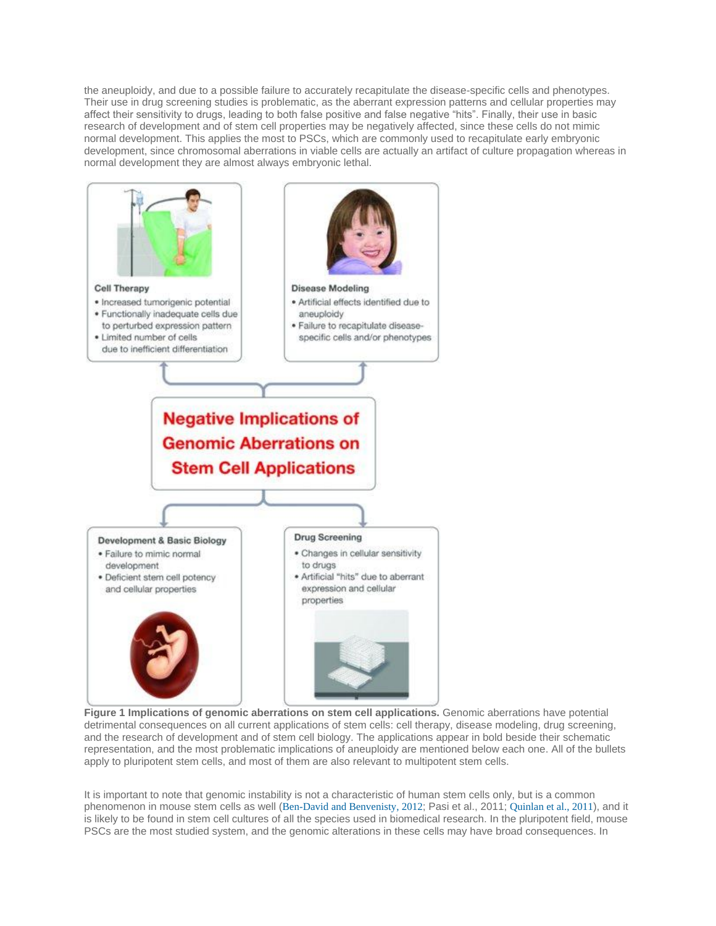the aneuploidy, and due to a possible failure to accurately recapitulate the disease-specific cells and phenotypes. Their use in drug screening studies is problematic, as the aberrant expression patterns and cellular properties may affect their sensitivity to drugs, leading to both false positive and false negative "hits". Finally, their use in basic research of development and of stem cell properties may be negatively affected, since these cells do not mimic normal development. This applies the most to PSCs, which are commonly used to recapitulate early embryonic development, since chromosomal aberrations in viable cells are actually an artifact of culture propagation whereas in normal development they are almost always embryonic lethal.



**Figure 1 Implications of genomic aberrations on stem cell applications.** Genomic aberrations have potential detrimental consequences on all current applications of stem cells: cell therapy, disease modeling, drug screening, and the research of development and of stem cell biology. The applications appear in bold beside their schematic representation, and the most problematic implications of aneuploidy are mentioned below each one. All of the bullets apply to pluripotent stem cells, and most of them are also relevant to multipotent stem cells.

It is important to note that genomic instability is not a characteristic of human stem cells only, but is a common phenomenon in mouse stem cells as well ([Ben-David and Benvenisty, 2012](http://www.stembook.org/node/719#R2a); Pasi et al., 2011; [Quinlan et al., 2011](http://www.stembook.org/node/719#R22)), and it is likely to be found in stem cell cultures of all the species used in biomedical research. In the pluripotent field, mouse PSCs are the most studied system, and the genomic alterations in these cells may have broad consequences. In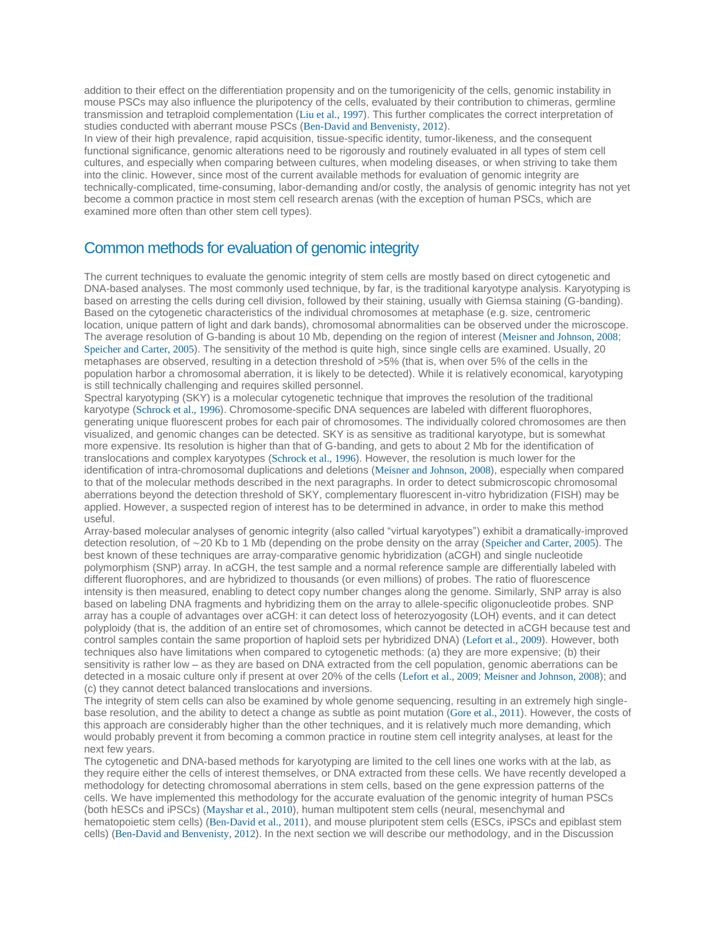addition to their effect on the differentiation propensity and on the tumorigenicity of the cells, genomic instability in mouse PSCs may also influence the pluripotency of the cells, evaluated by their contribution to chimeras, germline transmission and tetraploid complementation ([Liu et al., 1997](http://www.stembook.org/node/719#R16)). This further complicates the correct interpretation of studies conducted with aberrant mouse PSCs ([Ben-David and Benvenisty, 2012](http://www.stembook.org/node/719#R2a)).

In view of their high prevalence, rapid acquisition, tissue-specific identity, tumor-likeness, and the consequent functional significance, genomic alterations need to be rigorously and routinely evaluated in all types of stem cell cultures, and especially when comparing between cultures, when modeling diseases, or when striving to take them into the clinic. However, since most of the current available methods for evaluation of genomic integrity are technically-complicated, time-consuming, labor-demanding and/or costly, the analysis of genomic integrity has not yet become a common practice in most stem cell research arenas (with the exception of human PSCs, which are examined more often than other stem cell types).

#### Common methods for evaluation of genomic integrity

The current techniques to evaluate the genomic integrity of stem cells are mostly based on direct cytogenetic and DNA-based analyses. The most commonly used technique, by far, is the traditional karyotype analysis. Karyotyping is based on arresting the cells during cell division, followed by their staining, usually with Giemsa staining (G-banding). Based on the cytogenetic characteristics of the individual chromosomes at metaphase (e.g. size, centromeric location, unique pattern of light and dark bands), chromosomal abnormalities can be observed under the microscope. The average resolution of G-banding is about 10 Mb, depending on the region of interest ([Meisner and Johnson, 2008](http://www.stembook.org/node/719#R18); [Speicher and Carter, 2005](http://www.stembook.org/node/719#R25)). The sensitivity of the method is quite high, since single cells are examined. Usually, 20 metaphases are observed, resulting in a detection threshold of >5% (that is, when over 5% of the cells in the population harbor a chromosomal aberration, it is likely to be detected). While it is relatively economical, karyotyping is still technically challenging and requires skilled personnel.

Spectral karyotyping (SKY) is a molecular cytogenetic technique that improves the resolution of the traditional karyotype ([Schrock et al., 1996](http://www.stembook.org/node/719#R24)). Chromosome-specific DNA sequences are labeled with different fluorophores, generating unique fluorescent probes for each pair of chromosomes. The individually colored chromosomes are then visualized, and genomic changes can be detected. SKY is as sensitive as traditional karyotype, but is somewhat more expensive. Its resolution is higher than that of G-banding, and gets to about 2 Mb for the identification of translocations and complex karyotypes ([Schrock et al., 1996](http://www.stembook.org/node/719#R24)). However, the resolution is much lower for the identification of intra-chromosomal duplications and deletions ([Meisner and Johnson, 2008](http://www.stembook.org/node/719#R18)), especially when compared to that of the molecular methods described in the next paragraphs. In order to detect submicroscopic chromosomal aberrations beyond the detection threshold of SKY, complementary fluorescent in-vitro hybridization (FISH) may be applied. However, a suspected region of interest has to be determined in advance, in order to make this method useful.

Array-based molecular analyses of genomic integrity (also called "virtual karyotypes") exhibit a dramatically-improved detection resolution, of ∼20 Kb to 1 Mb (depending on the probe density on the array ([Speicher and Carter, 2005](http://www.stembook.org/node/719#R25)). The best known of these techniques are array-comparative genomic hybridization (aCGH) and single nucleotide polymorphism (SNP) array. In aCGH, the test sample and a normal reference sample are differentially labeled with different fluorophores, and are hybridized to thousands (or even millions) of probes. The ratio of fluorescence intensity is then measured, enabling to detect copy number changes along the genome. Similarly, SNP array is also based on labeling DNA fragments and hybridizing them on the array to allele-specific oligonucleotide probes. SNP array has a couple of advantages over aCGH: it can detect loss of heterozyogosity (LOH) events, and it can detect polyploidy (that is, the addition of an entire set of chromosomes, which cannot be detected in aCGH because test and control samples contain the same proportion of haploid sets per hybridized DNA) ([Lefort et al., 2009](http://www.stembook.org/node/719#R15)). However, both techniques also have limitations when compared to cytogenetic methods: (a) they are more expensive; (b) their sensitivity is rather low – as they are based on DNA extracted from the cell population, genomic aberrations can be detected in a mosaic culture only if present at over 20% of the cells ([Lefort et al., 2009](http://www.stembook.org/node/719#R15); [Meisner and Johnson, 2008](http://www.stembook.org/node/719#R18)); and (c) they cannot detect balanced translocations and inversions.

The integrity of stem cells can also be examined by whole genome sequencing, resulting in an extremely high singlebase resolution, and the ability to detect a change as subtle as point mutation ([Gore et al.,](http://www.stembook.org/node/719#R10) 2011). However, the costs of this approach are considerably higher than the other techniques, and it is relatively much more demanding, which would probably prevent it from becoming a common practice in routine stem cell integrity analyses, at least for the next few years.

The cytogenetic and DNA-based methods for karyotyping are limited to the cell lines one works with at the lab, as they require either the cells of interest themselves, or DNA extracted from these cells. We have recently developed a methodology for detecting chromosomal aberrations in stem cells, based on the gene expression patterns of the cells. We have implemented this methodology for the accurate evaluation of the genomic integrity of human PSCs (both hESCs and iPSCs) ([Mayshar et al., 2010](http://www.stembook.org/node/719#R17)), human multipotent stem cells (neural, mesenchymal and hematopoietic stem cells) ([Ben-David et al., 2011](http://www.stembook.org/node/719#R4)), and mouse pluripotent stem cells (ESCs, iPSCs and epiblast stem cells) ([Ben-David and Benvenisty, 2012](http://www.stembook.org/node/719#R2a)). In the next section we will describe our methodology, and in the Discussion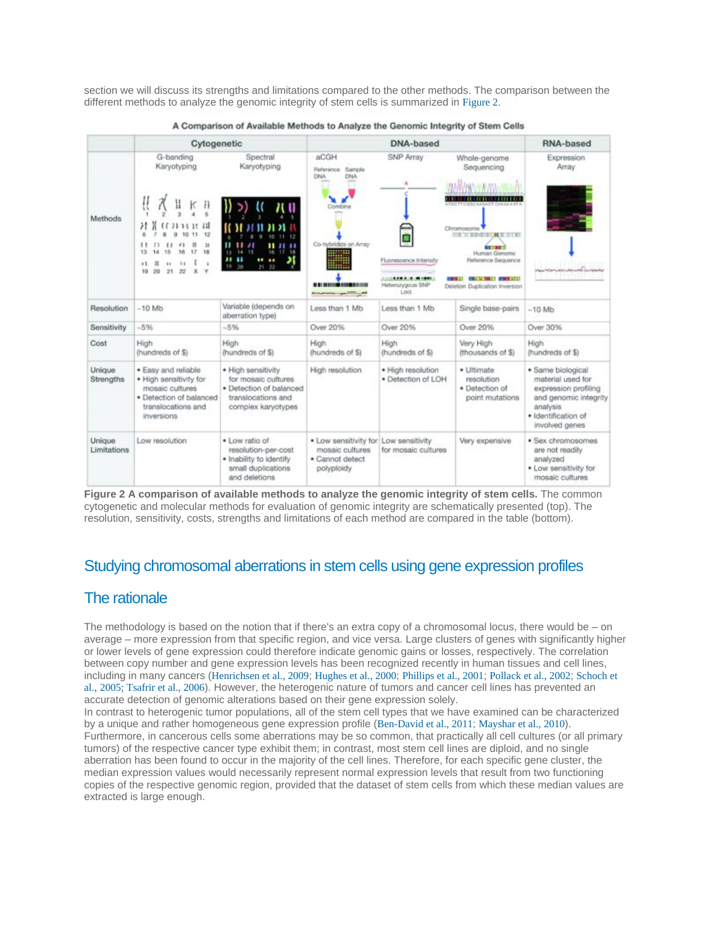section we will discuss its strengths and limitations compared to the other methods. The comparison between the different methods to analyze the genomic integrity of stem cells is summarized in [Figure 2](http://www.stembook.org/node/719#F2).

|                       | Cytogenetic                                                                                                                                                                                                              |                                                                                                                                 | DNA-based                                                                                                                              |                                                                      |                                                                                                                                                                                                               | RNA-based                                                                                                                                    |
|-----------------------|--------------------------------------------------------------------------------------------------------------------------------------------------------------------------------------------------------------------------|---------------------------------------------------------------------------------------------------------------------------------|----------------------------------------------------------------------------------------------------------------------------------------|----------------------------------------------------------------------|---------------------------------------------------------------------------------------------------------------------------------------------------------------------------------------------------------------|----------------------------------------------------------------------------------------------------------------------------------------------|
| Methods               | G-banding<br>Karyotyping<br>ŧ<br>к<br>Ħ<br>Н<br>Н<br>213111<br>12<br>11<br>и<br>16<br>÷.<br>F1<br>16<br>17<br>18<br>13<br>15<br>I<br>14<br>5 <sup>2</sup><br>11<br>$\overline{1}$<br>20<br>21<br>22<br>$\mathbf x$<br>19 | Spectral<br>Karyotyping<br>$\overline{u}$<br>52<br>,,<br><br>16<br>18<br>14<br>15<br>,,<br><br>$\cdots$<br>19<br>20<br>21<br>22 | aCGH<br>Sample<br>Reference<br>DNA<br>DNA<br>Combine<br>Co-hybridize on Array<br><b><i><b>B BI HEELING SINGERING</b></i></b><br>$   -$ | SNP Array<br>Ξ<br>Fluorescence Intensity<br>Heterozygous SNP<br>Loci | Whole-genome<br>Sequencing<br>Chromosome<br><b>THE OF REPORTED #1 20 YEARS</b><br><b>STATISTICS</b><br>Human Genome<br>Reference Sequence<br><b>Chain for the Community</b><br>Deletion Duplication Inversion | Expression<br>Array<br>annoniment man                                                                                                        |
| Resolution            | $-10$ Mb                                                                                                                                                                                                                 | Variable (depends on<br>aberration type)                                                                                        | Less than 1 Mb                                                                                                                         | Less than 1 Mb                                                       | Single base-pairs                                                                                                                                                                                             | $-10$ Mb                                                                                                                                     |
| Sensitivity           | $-5%$                                                                                                                                                                                                                    | $-5%$                                                                                                                           | Over 20%                                                                                                                               | Over 20%                                                             | Over 20%                                                                                                                                                                                                      | Over 30%                                                                                                                                     |
| Cost                  | High<br>(hundreds of \$)                                                                                                                                                                                                 | High<br>(hundreds of \$)                                                                                                        | High<br>(hundreds of \$)                                                                                                               | High<br>(hundreds of \$)                                             | Very High<br>(thousands of \$)                                                                                                                                                                                | High<br>(hundreds of \$)                                                                                                                     |
| Unique<br>Strengths   | · Easy and reliable<br>· High sensitivity for<br>mosaic cultures<br>· Detection of balanced<br>translocations and<br>inversions                                                                                          | · High sensitivity<br>for mosaic cultures<br>· Detection of balanced<br>translocations and<br>complex karyotypes                | High resolution                                                                                                                        | · High resolution<br>· Detection of LOH                              | · Ultimate<br>resolution<br>· Detection of<br>point mutations                                                                                                                                                 | · Same biological<br>material used for<br>expression profiling<br>and genomic integrity<br>analysis<br>· Identification of<br>involved genes |
| Unique<br>Limitations | Low resolution                                                                                                                                                                                                           | · Low ratio of<br>resolution-per-cost<br>· Inability to identify<br>small duplications<br>and deletions.                        | · Low sensitivity for<br>mosaic cultures<br>· Cannot detect<br>polyploidy                                                              | Low sensitivity<br>for mosaic cultures                               | Very expensive                                                                                                                                                                                                | · Sex chromosomes<br>are not readily<br>analyzed<br>· Low sensitivity for<br>mosaic cultures                                                 |



**Figure 2 A comparison of available methods to analyze the genomic integrity of stem cells.** The common cytogenetic and molecular methods for evaluation of genomic integrity are schematically presented (top). The resolution, sensitivity, costs, strengths and limitations of each method are compared in the table (bottom).

# Studying chromosomal aberrations in stem cells using gene expression profiles

# The rationale

The methodology is based on the notion that if there's an extra copy of a chromosomal locus, there would be – on average – more expression from that specific region, and vice versa. Large clusters of genes with significantly higher or lower levels of gene expression could therefore indicate genomic gains or losses, respectively. The correlation between copy number and gene expression levels has been recognized recently in human tissues and cell lines, including in many cancers ([Henrichsen et al., 2009](http://www.stembook.org/node/719#R11); [Hughes et al., 2000](http://www.stembook.org/node/719#R12); [Phillips et al., 2001](http://www.stembook.org/node/719#R20); [Pollack et al., 2002](http://www.stembook.org/node/719#R21); [Schoch et](http://www.stembook.org/node/719#R23)  [al.,](http://www.stembook.org/node/719#R23) [2005; Tsafrir et al., 2006](http://www.stembook.org/node/719#R26)). However, the heterogenic nature of tumors and cancer cell lines has prevented an accurate detection of genomic alterations based on their gene expression solely.

In contrast to heterogenic tumor populations, all of the stem cell types that we have examined can be characterized by a unique and rather homogeneous gene expression profile ([Ben-David et al., 2011](http://www.stembook.org/node/719#R4); [Mayshar et al., 2010](http://www.stembook.org/node/719#R17)). Furthermore, in cancerous cells some aberrations may be so common, that practically all cell cultures (or all primary tumors) of the respective cancer type exhibit them; in contrast, most stem cell lines are diploid, and no single aberration has been found to occur in the majority of the cell lines. Therefore, for each specific gene cluster, the median expression values would necessarily represent normal expression levels that result from two functioning copies of the respective genomic region, provided that the dataset of stem cells from which these median values are extracted is large enough.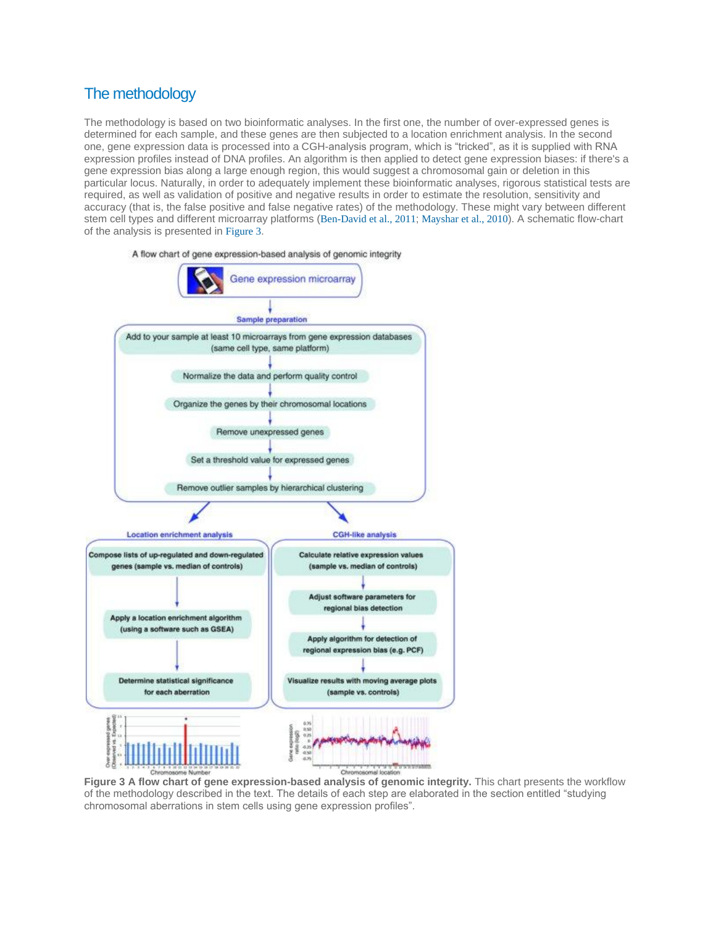# The methodology

The methodology is based on two bioinformatic analyses. In the first one, the number of over-expressed genes is determined for each sample, and these genes are then subjected to a location enrichment analysis. In the second one, gene expression data is processed into a CGH-analysis program, which is "tricked", as it is supplied with RNA expression profiles instead of DNA profiles. An algorithm is then applied to detect gene expression biases: if there's a gene expression bias along a large enough region, this would suggest a chromosomal gain or deletion in this particular locus. Naturally, in order to adequately implement these bioinformatic analyses, rigorous statistical tests are required, as well as validation of positive and negative results in order to estimate the resolution, sensitivity and accuracy (that is, the false positive and false negative rates) of the methodology. These might vary between different stem cell types and different microarray platforms ([Ben-David et al., 2011](http://www.stembook.org/node/719#R4); [Mayshar et al., 2010](http://www.stembook.org/node/719#R17)). A schematic flow-chart of the analysis is presented in [Figure 3](http://www.stembook.org/node/719#F3).



**Figure 3 A flow chart of gene expression-based analysis of genomic integrity.** This chart presents the workflow of the methodology described in the text. The details of each step are elaborated in the section entitled "studying chromosomal aberrations in stem cells using gene expression profiles".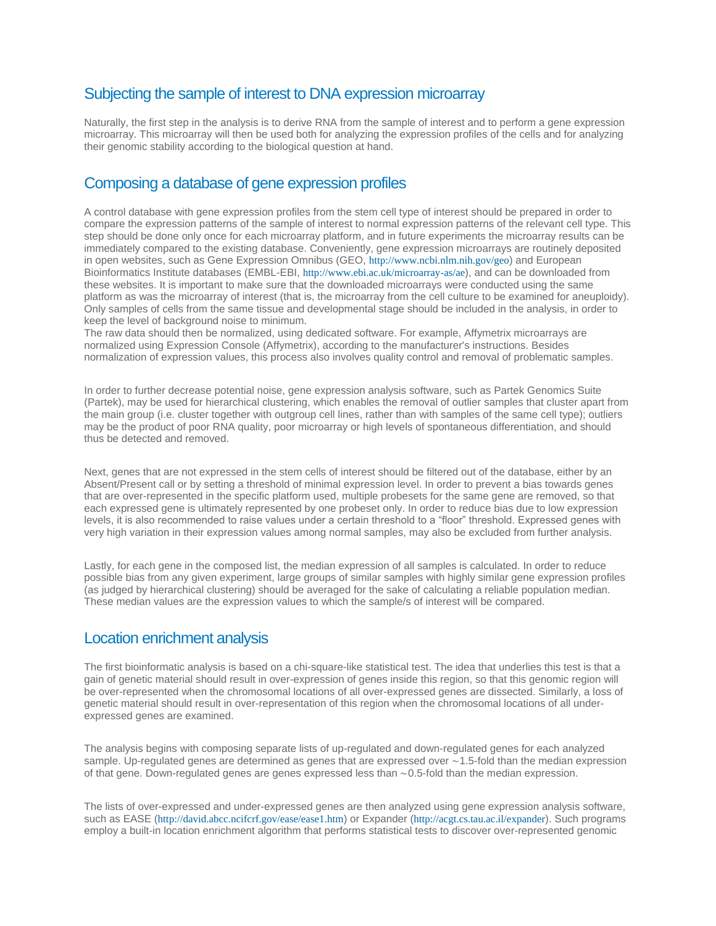# Subjecting the sample of interest to DNA expression microarray

Naturally, the first step in the analysis is to derive RNA from the sample of interest and to perform a gene expression microarray. This microarray will then be used both for analyzing the expression profiles of the cells and for analyzing their genomic stability according to the biological question at hand.

# Composing a database of gene expression profiles

A control database with gene expression profiles from the stem cell type of interest should be prepared in order to compare the expression patterns of the sample of interest to normal expression patterns of the relevant cell type. This step should be done only once for each microarray platform, and in future experiments the microarray results can be immediately compared to the existing database. Conveniently, gene expression microarrays are routinely deposited in open websites, such as Gene Expression Omnibus (GEO, <http://www.ncbi.nlm.nih.gov/geo>) and European Bioinformatics Institute databases (EMBL-EBI, <http://www.ebi.ac.uk/microarray-as/ae>), and can be downloaded from these websites. It is important to make sure that the downloaded microarrays were conducted using the same platform as was the microarray of interest (that is, the microarray from the cell culture to be examined for aneuploidy). Only samples of cells from the same tissue and developmental stage should be included in the analysis, in order to keep the level of background noise to minimum.

The raw data should then be normalized, using dedicated software. For example, Affymetrix microarrays are normalized using Expression Console (Affymetrix), according to the manufacturer's instructions. Besides normalization of expression values, this process also involves quality control and removal of problematic samples.

In order to further decrease potential noise, gene expression analysis software, such as Partek Genomics Suite (Partek), may be used for hierarchical clustering, which enables the removal of outlier samples that cluster apart from the main group (i.e. cluster together with outgroup cell lines, rather than with samples of the same cell type); outliers may be the product of poor RNA quality, poor microarray or high levels of spontaneous differentiation, and should thus be detected and removed.

Next, genes that are not expressed in the stem cells of interest should be filtered out of the database, either by an Absent/Present call or by setting a threshold of minimal expression level. In order to prevent a bias towards genes that are over-represented in the specific platform used, multiple probesets for the same gene are removed, so that each expressed gene is ultimately represented by one probeset only. In order to reduce bias due to low expression levels, it is also recommended to raise values under a certain threshold to a "floor" threshold. Expressed genes with very high variation in their expression values among normal samples, may also be excluded from further analysis.

Lastly, for each gene in the composed list, the median expression of all samples is calculated. In order to reduce possible bias from any given experiment, large groups of similar samples with highly similar gene expression profiles (as judged by hierarchical clustering) should be averaged for the sake of calculating a reliable population median. These median values are the expression values to which the sample/s of interest will be compared.

## Location enrichment analysis

The first bioinformatic analysis is based on a chi-square-like statistical test. The idea that underlies this test is that a gain of genetic material should result in over-expression of genes inside this region, so that this genomic region will be over-represented when the chromosomal locations of all over-expressed genes are dissected. Similarly, a loss of genetic material should result in over-representation of this region when the chromosomal locations of all underexpressed genes are examined.

The analysis begins with composing separate lists of up-regulated and down-regulated genes for each analyzed sample. Up-regulated genes are determined as genes that are expressed over ∼1.5-fold than the median expression of that gene. Down-regulated genes are genes expressed less than ∼0.5-fold than the median expression.

The lists of over-expressed and under-expressed genes are then analyzed using gene expression analysis software, such as EASE (<http://david.abcc.ncifcrf.gov/ease/ease1.htm>) or Expander (<http://acgt.cs.tau.ac.il/expander>). Such programs employ a built-in location enrichment algorithm that performs statistical tests to discover over-represented genomic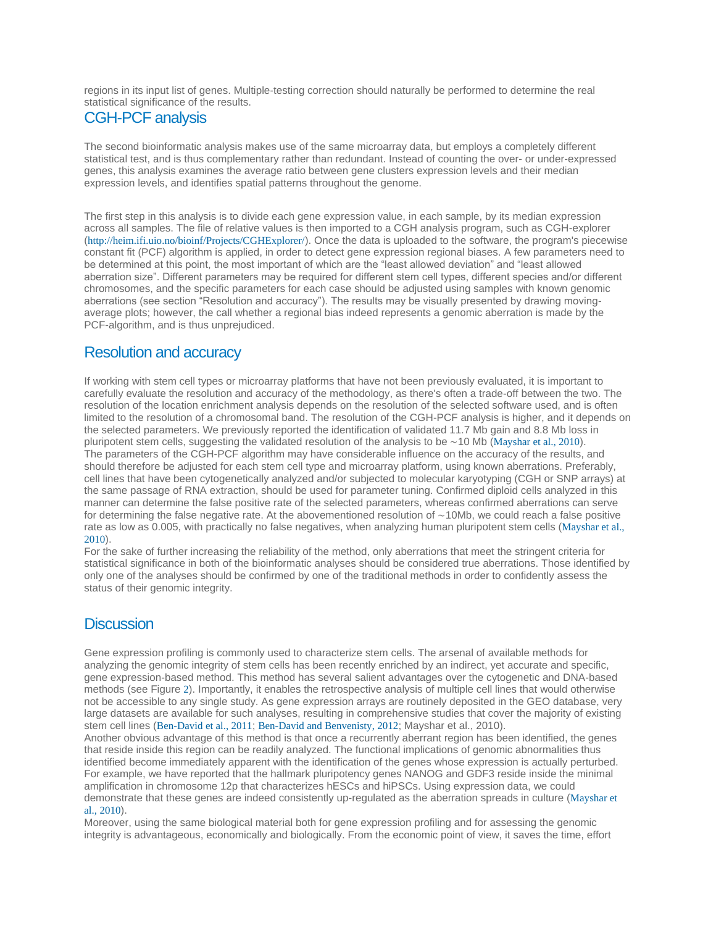regions in its input list of genes. Multiple-testing correction should naturally be performed to determine the real statistical significance of the results.

#### CGH-PCF analysis

The second bioinformatic analysis makes use of the same microarray data, but employs a completely different statistical test, and is thus complementary rather than redundant. Instead of counting the over- or under-expressed genes, this analysis examines the average ratio between gene clusters expression levels and their median expression levels, and identifies spatial patterns throughout the genome.

The first step in this analysis is to divide each gene expression value, in each sample, by its median expression across all samples. The file of relative values is then imported to a CGH analysis program, such as CGH-explorer (<http://heim.ifi.uio.no/bioinf/Projects/CGHExplorer/>). Once the data is uploaded to the software, the program's piecewise constant fit (PCF) algorithm is applied, in order to detect gene expression regional biases. A few parameters need to be determined at this point, the most important of which are the "least allowed deviation" and "least allowed aberration size". Different parameters may be required for different stem cell types, different species and/or different chromosomes, and the specific parameters for each case should be adjusted using samples with known genomic aberrations (see section "Resolution and accuracy"). The results may be visually presented by drawing movingaverage plots; however, the call whether a regional bias indeed represents a genomic aberration is made by the PCF-algorithm, and is thus unprejudiced.

#### Resolution and accuracy

If working with stem cell types or microarray platforms that have not been previously evaluated, it is important to carefully evaluate the resolution and accuracy of the methodology, as there's often a trade-off between the two. The resolution of the location enrichment analysis depends on the resolution of the selected software used, and is often limited to the resolution of a chromosomal band. The resolution of the CGH-PCF analysis is higher, and it depends on the selected parameters. We previously reported the identification of validated 11.7 Mb gain and 8.8 Mb loss in pluripotent stem cells, suggesting the validated resolution of the analysis to be ∼10 Mb ([Mayshar et al., 2010](http://www.stembook.org/node/719#R17)). The parameters of the CGH-PCF algorithm may have considerable influence on the accuracy of the results, and should therefore be adjusted for each stem cell type and microarray platform, using known aberrations. Preferably, cell lines that have been cytogenetically analyzed and/or subjected to molecular karyotyping (CGH or SNP arrays) at the same passage of RNA extraction, should be used for parameter tuning. Confirmed diploid cells analyzed in this manner can determine the false positive rate of the selected parameters, whereas confirmed aberrations can serve for determining the false negative rate. At the abovementioned resolution of ∼10Mb, we could reach a false positive rate as low as 0.005, with practically no false negatives, when analyzing human pluripotent stem cells ([Mayshar et al.,](http://www.stembook.org/node/719#R17)  [2010](http://www.stembook.org/node/719#R17)).

For the sake of further increasing the reliability of the method, only aberrations that meet the stringent criteria for statistical significance in both of the bioinformatic analyses should be considered true aberrations. Those identified by only one of the analyses should be confirmed by one of the traditional methods in order to confidently assess the status of their genomic integrity.

#### **Discussion**

Gene expression profiling is commonly used to characterize stem cells. The arsenal of available methods for analyzing the genomic integrity of stem cells has been recently enriched by an indirect, yet accurate and specific, gene expression-based method. This method has several salient advantages over the cytogenetic and DNA-based methods (see Figure [2](http://www.stembook.org/node/F2)). Importantly, it enables the retrospective analysis of multiple cell lines that would otherwise not be accessible to any single study. As gene expression arrays are routinely deposited in the GEO database, very large datasets are available for such analyses, resulting in comprehensive studies that cover the majority of existing stem cell lines ([Ben-David et al., 2011](http://www.stembook.org/node/719#R4); [Ben-David and Benvenisty, 2012](http://www.stembook.org/node/719#R2a); Mayshar et al., 2010).

Another obvious advantage of this method is that once a recurrently aberrant region has been identified, the genes that reside inside this region can be readily analyzed. The functional implications of genomic abnormalities thus identified become immediately apparent with the identification of the genes whose expression is actually perturbed. For example, we have reported that the hallmark pluripotency genes NANOG and GDF3 reside inside the minimal amplification in chromosome 12p that characterizes hESCs and hiPSCs. Using expression data, we could demonstrate that these genes are indeed consistently up-regulated as the aberration spreads in culture ([Mayshar et](http://www.stembook.org/node/719#R17)  [al., 2010](http://www.stembook.org/node/719#R17)).

Moreover, using the same biological material both for gene expression profiling and for assessing the genomic integrity is advantageous, economically and biologically. From the economic point of view, it saves the time, effort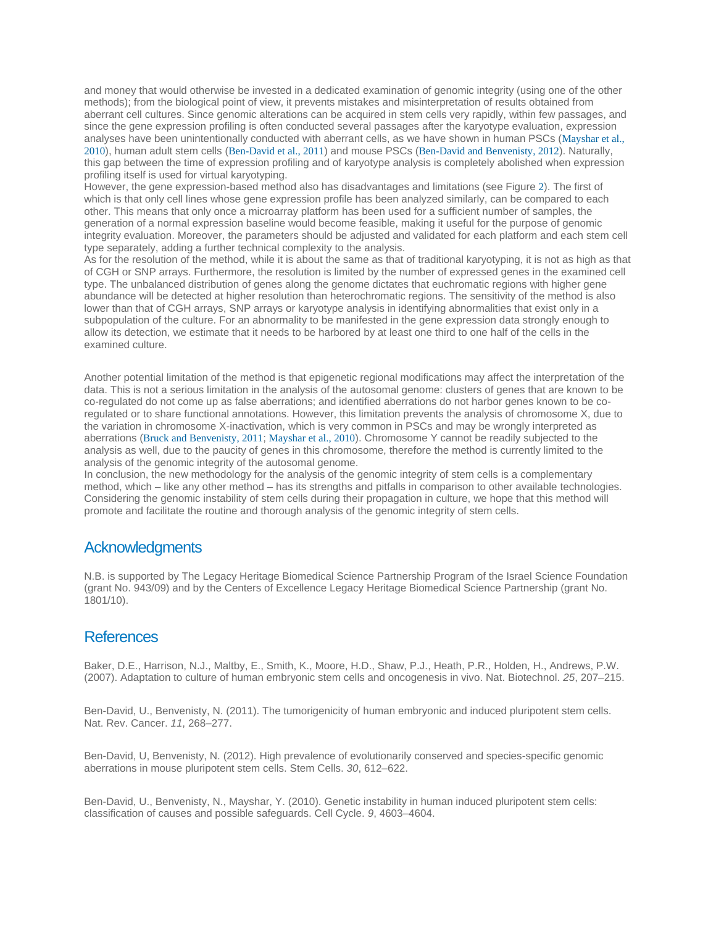and money that would otherwise be invested in a dedicated examination of genomic integrity (using one of the other methods); from the biological point of view, it prevents mistakes and misinterpretation of results obtained from aberrant cell cultures. Since genomic alterations can be acquired in stem cells very rapidly, within few passages, and since the gene expression profiling is often conducted several passages after the karyotype evaluation, expression analyses have been unintentionally conducted with aberrant cells, as we have shown in human PSCs ([Mayshar et al.,](http://www.stembook.org/node/719#R17)  [2010](http://www.stembook.org/node/719#R17)), human adult stem cells ([Ben-David et al., 2011](http://www.stembook.org/node/719#R4)) and mouse PSCs ([Ben-David and Benvenisty, 2012](http://www.stembook.org/node/719#R2a)). Naturally, this gap between the time of expression profiling and of karyotype analysis is completely abolished when expression profiling itself is used for virtual karyotyping.

However, the gene expression-based method also has disadvantages and limitations (see Figure [2](http://www.stembook.org/node/F2)). The first of which is that only cell lines whose gene expression profile has been analyzed similarly, can be compared to each other. This means that only once a microarray platform has been used for a sufficient number of samples, the generation of a normal expression baseline would become feasible, making it useful for the purpose of genomic integrity evaluation. Moreover, the parameters should be adjusted and validated for each platform and each stem cell type separately, adding a further technical complexity to the analysis.

As for the resolution of the method, while it is about the same as that of traditional karyotyping, it is not as high as that of CGH or SNP arrays. Furthermore, the resolution is limited by the number of expressed genes in the examined cell type. The unbalanced distribution of genes along the genome dictates that euchromatic regions with higher gene abundance will be detected at higher resolution than heterochromatic regions. The sensitivity of the method is also lower than that of CGH arrays, SNP arrays or karyotype analysis in identifying abnormalities that exist only in a subpopulation of the culture. For an abnormality to be manifested in the gene expression data strongly enough to allow its detection, we estimate that it needs to be harbored by at least one third to one half of the cells in the examined culture.

Another potential limitation of the method is that epigenetic regional modifications may affect the interpretation of the data. This is not a serious limitation in the analysis of the autosomal genome: clusters of genes that are known to be co-regulated do not come up as false aberrations; and identified aberrations do not harbor genes known to be coregulated or to share functional annotations. However, this limitation prevents the analysis of chromosome X, due to the variation in chromosome X-inactivation, which is very common in PSCs and may be wrongly interpreted as aberrations ([Bruck and Benvenisty, 2011](http://www.stembook.org/node/719#R7); [Mayshar et al., 2010](http://www.stembook.org/node/719#R17)). Chromosome Y cannot be readily subjected to the analysis as well, due to the paucity of genes in this chromosome, therefore the method is currently limited to the analysis of the genomic integrity of the autosomal genome.

In conclusion, the new methodology for the analysis of the genomic integrity of stem cells is a complementary method, which – like any other method – has its strengths and pitfalls in comparison to other available technologies. Considering the genomic instability of stem cells during their propagation in culture, we hope that this method will promote and facilitate the routine and thorough analysis of the genomic integrity of stem cells.

#### Acknowledgments

N.B. is supported by The Legacy Heritage Biomedical Science Partnership Program of the Israel Science Foundation (grant No. 943/09) and by the Centers of Excellence Legacy Heritage Biomedical Science Partnership (grant No. 1801/10).

#### **References**

Baker, D.E., Harrison, N.J., Maltby, E., Smith, K., Moore, H.D., Shaw, P.J., Heath, P.R., Holden, H., Andrews, P.W. (2007). Adaptation to culture of human embryonic stem cells and oncogenesis in vivo. Nat. Biotechnol. *25*, 207–215.

Ben-David, U., Benvenisty, N. (2011). The tumorigenicity of human embryonic and induced pluripotent stem cells. Nat. Rev. Cancer. *11*, 268–277.

Ben-David, U, Benvenisty, N. (2012). High prevalence of evolutionarily conserved and species-specific genomic aberrations in mouse pluripotent stem cells. Stem Cells. *30*, 612–622.

Ben-David, U., Benvenisty, N., Mayshar, Y. (2010). Genetic instability in human induced pluripotent stem cells: classification of causes and possible safeguards. Cell Cycle. *9*, 4603–4604.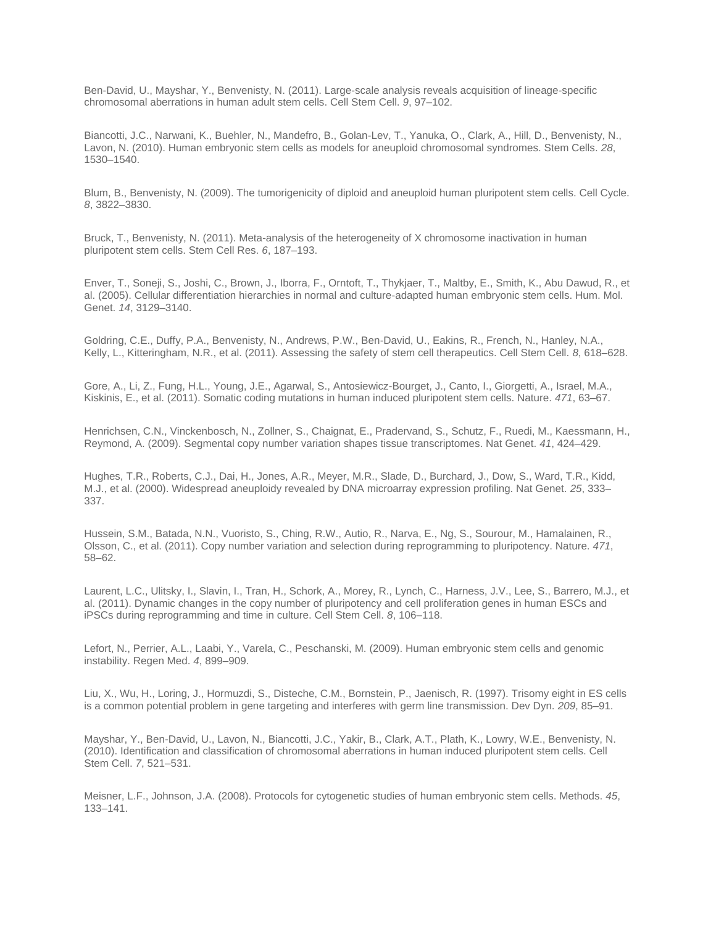Ben-David, U., Mayshar, Y., Benvenisty, N. (2011). Large-scale analysis reveals acquisition of lineage-specific chromosomal aberrations in human adult stem cells. Cell Stem Cell. *9*, 97–102.

Biancotti, J.C., Narwani, K., Buehler, N., Mandefro, B., Golan-Lev, T., Yanuka, O., Clark, A., Hill, D., Benvenisty, N., Lavon, N. (2010). Human embryonic stem cells as models for aneuploid chromosomal syndromes. Stem Cells. *28*, 1530–1540.

Blum, B., Benvenisty, N. (2009). The tumorigenicity of diploid and aneuploid human pluripotent stem cells. Cell Cycle. *8*, 3822–3830.

Bruck, T., Benvenisty, N. (2011). Meta-analysis of the heterogeneity of X chromosome inactivation in human pluripotent stem cells. Stem Cell Res. *6*, 187–193.

Enver, T., Soneji, S., Joshi, C., Brown, J., Iborra, F., Orntoft, T., Thykjaer, T., Maltby, E., Smith, K., Abu Dawud, R., et al. (2005). Cellular differentiation hierarchies in normal and culture-adapted human embryonic stem cells. Hum. Mol. Genet. *14*, 3129–3140.

Goldring, C.E., Duffy, P.A., Benvenisty, N., Andrews, P.W., Ben-David, U., Eakins, R., French, N., Hanley, N.A., Kelly, L., Kitteringham, N.R., et al. (2011). Assessing the safety of stem cell therapeutics. Cell Stem Cell. *8*, 618–628.

Gore, A., Li, Z., Fung, H.L., Young, J.E., Agarwal, S., Antosiewicz-Bourget, J., Canto, I., Giorgetti, A., Israel, M.A., Kiskinis, E., et al. (2011). Somatic coding mutations in human induced pluripotent stem cells. Nature. *471*, 63–67.

Henrichsen, C.N., Vinckenbosch, N., Zollner, S., Chaignat, E., Pradervand, S., Schutz, F., Ruedi, M., Kaessmann, H., Reymond, A. (2009). Segmental copy number variation shapes tissue transcriptomes. Nat Genet. *41*, 424–429.

Hughes, T.R., Roberts, C.J., Dai, H., Jones, A.R., Meyer, M.R., Slade, D., Burchard, J., Dow, S., Ward, T.R., Kidd, M.J., et al. (2000). Widespread aneuploidy revealed by DNA microarray expression profiling. Nat Genet. *25*, 333– 337.

Hussein, S.M., Batada, N.N., Vuoristo, S., Ching, R.W., Autio, R., Narva, E., Ng, S., Sourour, M., Hamalainen, R., Olsson, C., et al. (2011). Copy number variation and selection during reprogramming to pluripotency. Nature. *471*, 58–62.

Laurent, L.C., Ulitsky, I., Slavin, I., Tran, H., Schork, A., Morey, R., Lynch, C., Harness, J.V., Lee, S., Barrero, M.J., et al. (2011). Dynamic changes in the copy number of pluripotency and cell proliferation genes in human ESCs and iPSCs during reprogramming and time in culture. Cell Stem Cell. *8*, 106–118.

Lefort, N., Perrier, A.L., Laabi, Y., Varela, C., Peschanski, M. (2009). Human embryonic stem cells and genomic instability. Regen Med. *4*, 899–909.

Liu, X., Wu, H., Loring, J., Hormuzdi, S., Disteche, C.M., Bornstein, P., Jaenisch, R. (1997). Trisomy eight in ES cells is a common potential problem in gene targeting and interferes with germ line transmission. Dev Dyn. *209*, 85–91.

Mayshar, Y., Ben-David, U., Lavon, N., Biancotti, J.C., Yakir, B., Clark, A.T., Plath, K., Lowry, W.E., Benvenisty, N. (2010). Identification and classification of chromosomal aberrations in human induced pluripotent stem cells. Cell Stem Cell. *7*, 521–531.

Meisner, L.F., Johnson, J.A. (2008). Protocols for cytogenetic studies of human embryonic stem cells. Methods. *45*, 133–141.